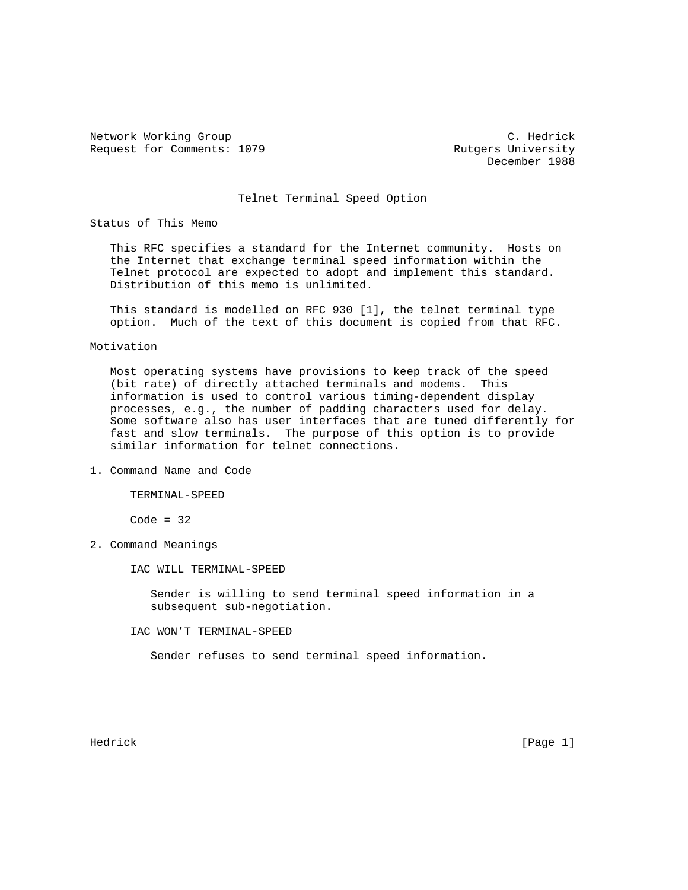Network Working Group C. Hedrick Request for Comments: 1079 Rutgers University

December 1988

## Telnet Terminal Speed Option

Status of This Memo

 This RFC specifies a standard for the Internet community. Hosts on the Internet that exchange terminal speed information within the Telnet protocol are expected to adopt and implement this standard. Distribution of this memo is unlimited.

 This standard is modelled on RFC 930 [1], the telnet terminal type option. Much of the text of this document is copied from that RFC.

## Motivation

 Most operating systems have provisions to keep track of the speed (bit rate) of directly attached terminals and modems. This information is used to control various timing-dependent display processes, e.g., the number of padding characters used for delay. Some software also has user interfaces that are tuned differently for fast and slow terminals. The purpose of this option is to provide similar information for telnet connections.

1. Command Name and Code

TERMINAL-SPEED

 $Code = 32$ 

2. Command Meanings

IAC WILL TERMINAL-SPEED

 Sender is willing to send terminal speed information in a subsequent sub-negotiation.

IAC WON'T TERMINAL-SPEED

Sender refuses to send terminal speed information.

Hedrick [Page 1]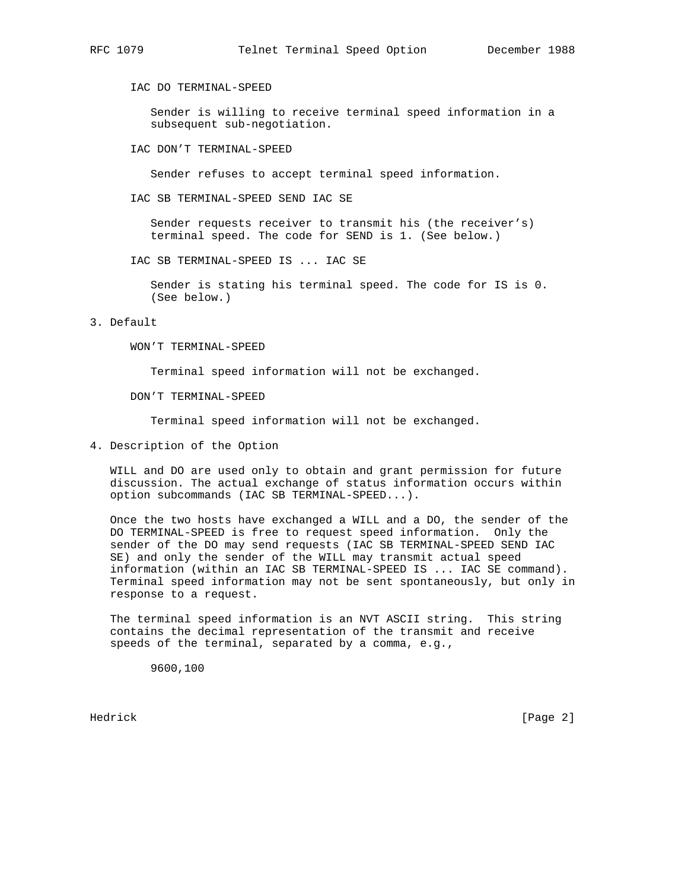IAC DO TERMINAL-SPEED

 Sender is willing to receive terminal speed information in a subsequent sub-negotiation.

IAC DON'T TERMINAL-SPEED

Sender refuses to accept terminal speed information.

IAC SB TERMINAL-SPEED SEND IAC SE

 Sender requests receiver to transmit his (the receiver's) terminal speed. The code for SEND is 1. (See below.)

IAC SB TERMINAL-SPEED IS ... IAC SE

 Sender is stating his terminal speed. The code for IS is 0. (See below.)

## 3. Default

WON'T TERMINAL-SPEED

Terminal speed information will not be exchanged.

DON'T TERMINAL-SPEED

Terminal speed information will not be exchanged.

4. Description of the Option

 WILL and DO are used only to obtain and grant permission for future discussion. The actual exchange of status information occurs within option subcommands (IAC SB TERMINAL-SPEED...).

 Once the two hosts have exchanged a WILL and a DO, the sender of the DO TERMINAL-SPEED is free to request speed information. Only the sender of the DO may send requests (IAC SB TERMINAL-SPEED SEND IAC SE) and only the sender of the WILL may transmit actual speed information (within an IAC SB TERMINAL-SPEED IS ... IAC SE command). Terminal speed information may not be sent spontaneously, but only in response to a request.

 The terminal speed information is an NVT ASCII string. This string contains the decimal representation of the transmit and receive speeds of the terminal, separated by a comma, e.g.,

9600,100

Hedrick [Page 2]